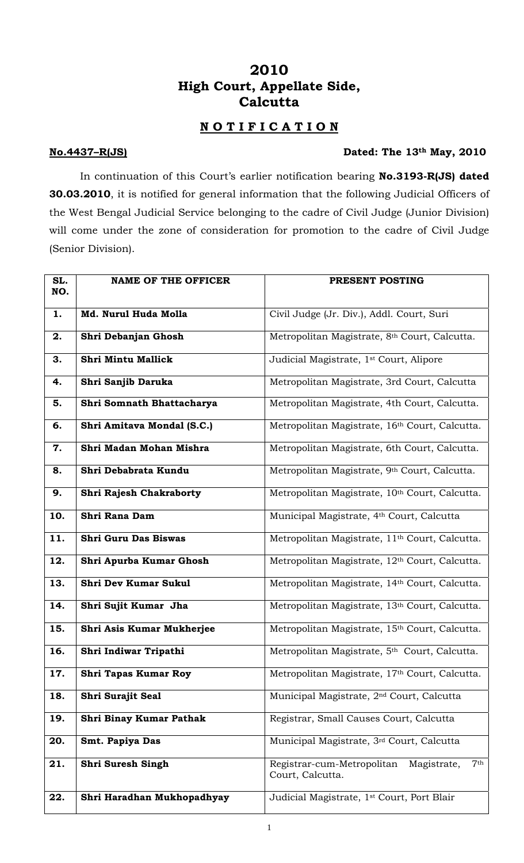## **2010 High Court, Appellate Side, Calcutta**

## **N O T I F I C A T I O N**

## **No.4437–R(JS) Dated: The 13th May, 2010**

In continuation of this Court's earlier notification bearing **No.3193-R(JS) dated 30.03.2010**, it is notified for general information that the following Judicial Officers of the West Bengal Judicial Service belonging to the cadre of Civil Judge (Junior Division) will come under the zone of consideration for promotion to the cadre of Civil Judge (Senior Division).

| SL.<br>NO. | <b>NAME OF THE OFFICER</b>     | PRESENT POSTING                                                               |
|------------|--------------------------------|-------------------------------------------------------------------------------|
| 1.         | Md. Nurul Huda Molla           | Civil Judge (Jr. Div.), Addl. Court, Suri                                     |
| 2.         | Shri Debanjan Ghosh            | Metropolitan Magistrate, 8th Court, Calcutta.                                 |
| 3.         | Shri Mintu Mallick             | Judicial Magistrate, 1 <sup>st</sup> Court, Alipore                           |
| 4.         | Shri Sanjib Daruka             | Metropolitan Magistrate, 3rd Court, Calcutta                                  |
| 5.         | Shri Somnath Bhattacharya      | Metropolitan Magistrate, 4th Court, Calcutta.                                 |
| 6.         | Shri Amitava Mondal (S.C.)     | Metropolitan Magistrate, 16th Court, Calcutta.                                |
| 7.         | Shri Madan Mohan Mishra        | Metropolitan Magistrate, 6th Court, Calcutta.                                 |
| 8.         | Shri Debabrata Kundu           | Metropolitan Magistrate, 9th Court, Calcutta.                                 |
| 9.         | <b>Shri Rajesh Chakraborty</b> | Metropolitan Magistrate, 10th Court, Calcutta.                                |
| 10.        | Shri Rana Dam                  | Municipal Magistrate, 4th Court, Calcutta                                     |
| 11.        | Shri Guru Das Biswas           | Metropolitan Magistrate, 11 <sup>th</sup> Court, Calcutta.                    |
| 12.        | Shri Apurba Kumar Ghosh        | Metropolitan Magistrate, 12 <sup>th</sup> Court, Calcutta.                    |
| 13.        | <b>Shri Dev Kumar Sukul</b>    | Metropolitan Magistrate, 14th Court, Calcutta.                                |
| 14.        | Shri Sujit Kumar Jha           | Metropolitan Magistrate, 13th Court, Calcutta.                                |
| 15.        | Shri Asis Kumar Mukherjee      | Metropolitan Magistrate, 15th Court, Calcutta.                                |
| 16.        | Shri Indiwar Tripathi          | Metropolitan Magistrate, 5 <sup>th</sup> Court, Calcutta.                     |
| 17.        | <b>Shri Tapas Kumar Roy</b>    | Metropolitan Magistrate, 17th Court, Calcutta.                                |
| 18.        | Shri Surajit Seal              | Municipal Magistrate, 2 <sup>nd</sup> Court, Calcutta                         |
| 19.        | Shri Binay Kumar Pathak        | Registrar, Small Causes Court, Calcutta                                       |
| 20.        | Smt. Papiya Das                | Municipal Magistrate, 3rd Court, Calcutta                                     |
| 21.        | Shri Suresh Singh              | 7 <sup>th</sup><br>Registrar-cum-Metropolitan Magistrate,<br>Court, Calcutta. |
| 22.        | Shri Haradhan Mukhopadhyay     | Judicial Magistrate, 1 <sup>st</sup> Court, Port Blair                        |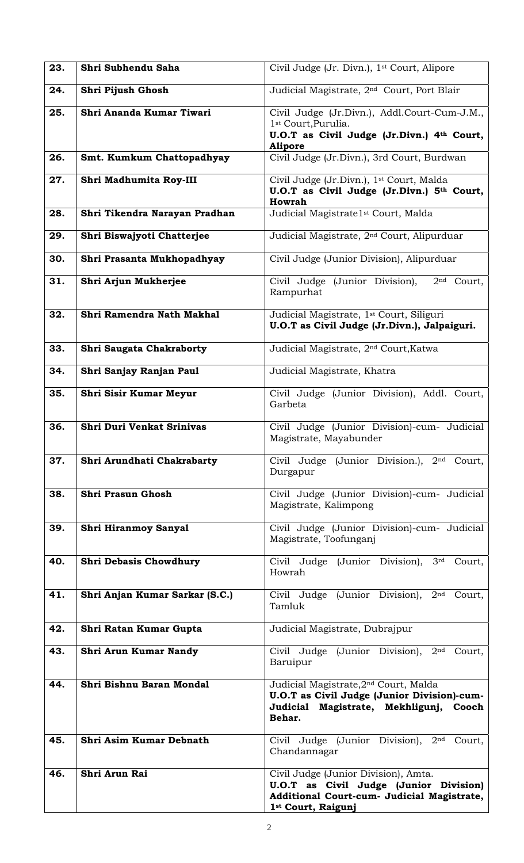| 23. | Shri Subhendu Saha             | Civil Judge (Jr. Divn.), 1 <sup>st</sup> Court, Alipore                                                                                                 |
|-----|--------------------------------|---------------------------------------------------------------------------------------------------------------------------------------------------------|
| 24. | Shri Pijush Ghosh              | Judicial Magistrate, 2 <sup>nd</sup> Court, Port Blair                                                                                                  |
| 25. | Shri Ananda Kumar Tiwari       | Civil Judge (Jr.Divn.), Addl.Court-Cum-J.M.,<br>1 <sup>st</sup> Court, Purulia.<br>U.O.T as Civil Judge (Jr.Divn.) 4th Court,<br><b>Alipore</b>         |
| 26. | Smt. Kumkum Chattopadhyay      | Civil Judge (Jr.Divn.), 3rd Court, Burdwan                                                                                                              |
| 27. | Shri Madhumita Roy-III         | Civil Judge (Jr.Divn.), 1 <sup>st</sup> Court, Malda<br>U.O.T as Civil Judge (Jr.Divn.) 5th Court,<br>Howrah                                            |
| 28. | Shri Tikendra Narayan Pradhan  | Judicial Magistrate1 <sup>st</sup> Court, Malda                                                                                                         |
| 29. | Shri Biswajyoti Chatterjee     | Judicial Magistrate, 2 <sup>nd</sup> Court, Alipurduar                                                                                                  |
| 30. | Shri Prasanta Mukhopadhyay     | Civil Judge (Junior Division), Alipurduar                                                                                                               |
| 31. | Shri Arjun Mukherjee           | Civil Judge (Junior Division),<br>2 <sup>nd</sup> Court,<br>Rampurhat                                                                                   |
| 32. | Shri Ramendra Nath Makhal      | Judicial Magistrate, 1 <sup>st</sup> Court, Siliguri<br>U.O.T as Civil Judge (Jr.Divn.), Jalpaiguri.                                                    |
| 33. | Shri Saugata Chakraborty       | Judicial Magistrate, 2 <sup>nd</sup> Court, Katwa                                                                                                       |
| 34. | Shri Sanjay Ranjan Paul        | Judicial Magistrate, Khatra                                                                                                                             |
| 35. | <b>Shri Sisir Kumar Meyur</b>  | Civil Judge (Junior Division), Addl. Court,<br>Garbeta                                                                                                  |
| 36. | Shri Duri Venkat Srinivas      | Civil Judge (Junior Division)-cum- Judicial<br>Magistrate, Mayabunder                                                                                   |
| 37. | Shri Arundhati Chakrabarty     | Civil Judge (Junior Division.), 2 <sup>nd</sup> Court,<br>Durgapur                                                                                      |
| 38. | <b>Shri Prasun Ghosh</b>       | Civil Judge (Junior Division)-cum- Judicial<br>Magistrate, Kalimpong                                                                                    |
| 39. | <b>Shri Hiranmoy Sanyal</b>    | Civil Judge (Junior Division)-cum- Judicial<br>Magistrate, Toofunganj                                                                                   |
| 40. | <b>Shri Debasis Chowdhury</b>  | Civil Judge (Junior Division), 3rd<br>Court,<br>Howrah                                                                                                  |
| 41. | Shri Anjan Kumar Sarkar (S.C.) | Civil Judge (Junior Division), 2nd<br>Court,<br>Tamluk                                                                                                  |
| 42. | Shri Ratan Kumar Gupta         | Judicial Magistrate, Dubrajpur                                                                                                                          |
| 43. | Shri Arun Kumar Nandy          | Civil Judge (Junior Division), 2nd<br>Court,<br>Baruipur                                                                                                |
| 44. | Shri Bishnu Baran Mondal       | Judicial Magistrate, 2 <sup>nd</sup> Court, Malda<br>U.O.T as Civil Judge (Junior Division)-cum-<br>Judicial Magistrate, Mekhligunj,<br>Cooch<br>Behar. |
| 45. | Shri Asim Kumar Debnath        | Civil Judge (Junior Division), 2nd<br>Court,<br>Chandannagar                                                                                            |
| 46. | Shri Arun Rai                  | Civil Judge (Junior Division), Amta.<br>U.O.T as Civil Judge (Junior Division)<br>Additional Court-cum- Judicial Magistrate,<br>1st Court, Raigunj      |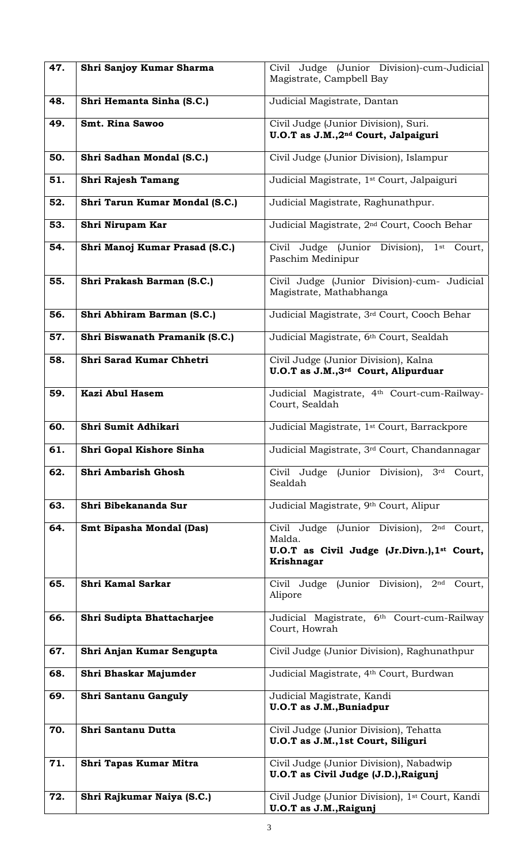| 47. | Shri Sanjoy Kumar Sharma        | Civil Judge (Junior Division)-cum-Judicial<br>Magistrate, Campbell Bay                                              |
|-----|---------------------------------|---------------------------------------------------------------------------------------------------------------------|
| 48. | Shri Hemanta Sinha (S.C.)       | Judicial Magistrate, Dantan                                                                                         |
| 49. | <b>Smt. Rina Sawoo</b>          | Civil Judge (Junior Division), Suri.<br>U.O.T as J.M., 2 <sup>nd</sup> Court, Jalpaiguri                            |
| 50. | Shri Sadhan Mondal (S.C.)       | Civil Judge (Junior Division), Islampur                                                                             |
| 51. | <b>Shri Rajesh Tamang</b>       | Judicial Magistrate, 1 <sup>st</sup> Court, Jalpaiguri                                                              |
| 52. | Shri Tarun Kumar Mondal (S.C.)  | Judicial Magistrate, Raghunathpur.                                                                                  |
| 53. | Shri Nirupam Kar                | Judicial Magistrate, 2 <sup>nd</sup> Court, Cooch Behar                                                             |
| 54. | Shri Manoj Kumar Prasad (S.C.)  | Civil Judge (Junior Division),<br>1 <sup>st</sup> Court,<br>Paschim Medinipur                                       |
| 55. | Shri Prakash Barman (S.C.)      | Civil Judge (Junior Division)-cum- Judicial<br>Magistrate, Mathabhanga                                              |
| 56. | Shri Abhiram Barman (S.C.)      | Judicial Magistrate, 3rd Court, Cooch Behar                                                                         |
| 57. | Shri Biswanath Pramanik (S.C.)  | Judicial Magistrate, 6th Court, Sealdah                                                                             |
| 58. | Shri Sarad Kumar Chhetri        | Civil Judge (Junior Division), Kalna<br>U.O.T as J.M., 3 <sup>rd</sup> Court, Alipurduar                            |
| 59. | <b>Kazi Abul Hasem</b>          | Judicial Magistrate, 4th Court-cum-Railway-<br>Court, Sealdah                                                       |
| 60. | Shri Sumit Adhikari             | Judicial Magistrate, 1 <sup>st</sup> Court, Barrackpore                                                             |
| 61. | Shri Gopal Kishore Sinha        | Judicial Magistrate, 3rd Court, Chandannagar                                                                        |
| 62. | Shri Ambarish Ghosh             | Civil Judge (Junior Division),<br>3 <sup>rd</sup><br>Court,<br>Sealdah                                              |
| 63. | Shri Bibekananda Sur            | Judicial Magistrate, 9th Court, Alipur                                                                              |
| 64. | <b>Smt Bipasha Mondal (Das)</b> | Civil Judge (Junior Division), 2nd<br>Court,<br>Malda.<br>U.O.T as Civil Judge (Jr.Divn.), 1st Court,<br>Krishnagar |
| 65. | Shri Kamal Sarkar               | Civil Judge (Junior Division),<br>2 <sup>nd</sup><br>Court,<br>Alipore                                              |
| 66. | Shri Sudipta Bhattacharjee      | Judicial Magistrate, 6 <sup>th</sup> Court-cum-Railway<br>Court, Howrah                                             |
| 67. | Shri Anjan Kumar Sengupta       | Civil Judge (Junior Division), Raghunathpur                                                                         |
| 68. | Shri Bhaskar Majumder           | Judicial Magistrate, 4th Court, Burdwan                                                                             |
| 69. | Shri Santanu Ganguly            | Judicial Magistrate, Kandi<br><b>U.O.T</b> as J.M., Buniadpur                                                       |
| 70. | Shri Santanu Dutta              | Civil Judge (Junior Division), Tehatta<br>U.O.T as J.M., 1st Court, Siliguri                                        |
| 71. | Shri Tapas Kumar Mitra          | Civil Judge (Junior Division), Nabadwip<br>U.O.T as Civil Judge (J.D.), Raigunj                                     |
| 72. | Shri Rajkumar Naiya (S.C.)      | Civil Judge (Junior Division), 1st Court, Kandi<br>U.O.T as J.M., Raigunj                                           |